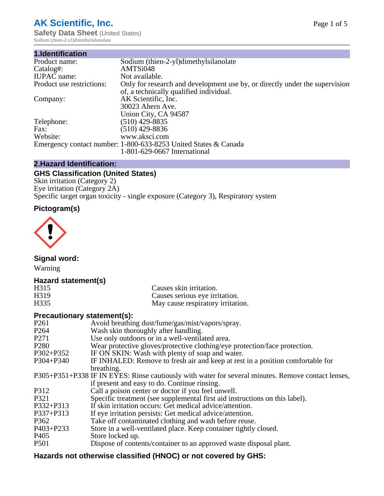# **AK Scientific, Inc.**

**Safety Data Sheet (United States)** Sodium (thien-2-yl)dimethylsilanolate

| 1.Identification          |                                                                                                                        |
|---------------------------|------------------------------------------------------------------------------------------------------------------------|
| Product name:             | Sodium (thien-2-yl)dimethylsilanolate                                                                                  |
| Catalog#:                 | AMTSi048                                                                                                               |
| <b>IUPAC</b> name:        | Not available.                                                                                                         |
| Product use restrictions: | Only for research and development use by, or directly under the supervision<br>of, a technically qualified individual. |
| Company:                  | AK Scientific, Inc.                                                                                                    |
|                           | 30023 Ahern Ave.                                                                                                       |
|                           | Union City, CA 94587                                                                                                   |
| Telephone:                | $(510)$ 429-8835                                                                                                       |
| Fax:                      | (510) 429-8836                                                                                                         |
| Website:                  | www.aksci.com                                                                                                          |
|                           | Emergency contact number: 1-800-633-8253 United States & Canada                                                        |
|                           | 1-801-629-0667 International                                                                                           |

# **2.Hazard Identification:**

# **GHS Classification (United States)**

Skin irritation (Category 2) Eye irritation (Category 2A) Specific target organ toxicity - single exposure (Category 3), Respiratory system

# **Pictogram(s)**



**Signal word:**

Warning

# **Hazard statement(s)**

| H <sub>315</sub>  | Causes skin irritation.           |
|-------------------|-----------------------------------|
| H <sub>3</sub> 19 | Causes serious eye irritation.    |
| H335              | May cause respiratory irritation. |

## **Precautionary statement(s):**

| P <sub>261</sub> | Avoid breathing dust/fume/gas/mist/vapors/spray.                                                   |
|------------------|----------------------------------------------------------------------------------------------------|
| P <sub>264</sub> | Wash skin thoroughly after handling.                                                               |
| P <sub>271</sub> | Use only outdoors or in a well-ventilated area.                                                    |
| P <sub>280</sub> | Wear protective gloves/protective clothing/eye protection/face protection.                         |
| P302+P352        | IF ON SKIN: Wash with plenty of soap and water.                                                    |
| $P304 + P340$    | IF INHALED: Remove to fresh air and keep at rest in a position comfortable for                     |
|                  | breathing.                                                                                         |
|                  | P305+P351+P338 IF IN EYES: Rinse cautiously with water for several minutes. Remove contact lenses, |
|                  | if present and easy to do. Continue rinsing.                                                       |
| P312             | Call a poison center or doctor if you feel unwell.                                                 |
| P321             | Specific treatment (see supplemental first aid instructions on this label).                        |
| P332+P313        | If skin irritation occurs: Get medical advice/attention.                                           |
| P337+P313        | If eye irritation persists: Get medical advice/attention.                                          |
| P362             | Take off contaminated clothing and wash before reuse.                                              |
| P403+P233        | Store in a well-ventilated place. Keep container tightly closed.                                   |
| P <sub>405</sub> | Store locked up.                                                                                   |
| P <sub>501</sub> | Dispose of contents/container to an approved waste disposal plant.                                 |
|                  |                                                                                                    |

# **Hazards not otherwise classified (HNOC) or not covered by GHS:**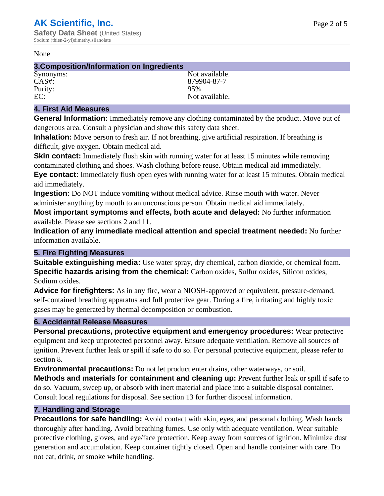#### None

#### **3.Composition/Information on Ingredients**

Purity:<br>EC:

Synonyms: Not available. CAS#: 879904-87-7<br>
Purity: 95% Not available.

## **4. First Aid Measures**

**General Information:** Immediately remove any clothing contaminated by the product. Move out of dangerous area. Consult a physician and show this safety data sheet.

**Inhalation:** Move person to fresh air. If not breathing, give artificial respiration. If breathing is difficult, give oxygen. Obtain medical aid.

**Skin contact:** Immediately flush skin with running water for at least 15 minutes while removing contaminated clothing and shoes. Wash clothing before reuse. Obtain medical aid immediately. **Eye contact:** Immediately flush open eyes with running water for at least 15 minutes. Obtain medical aid immediately.

**Ingestion:** Do NOT induce vomiting without medical advice. Rinse mouth with water. Never administer anything by mouth to an unconscious person. Obtain medical aid immediately.

**Most important symptoms and effects, both acute and delayed:** No further information available. Please see sections 2 and 11.

**Indication of any immediate medical attention and special treatment needed:** No further information available.

# **5. Fire Fighting Measures**

**Suitable extinguishing media:** Use water spray, dry chemical, carbon dioxide, or chemical foam. **Specific hazards arising from the chemical:** Carbon oxides, Sulfur oxides, Silicon oxides, Sodium oxides.

**Advice for firefighters:** As in any fire, wear a NIOSH-approved or equivalent, pressure-demand, self-contained breathing apparatus and full protective gear. During a fire, irritating and highly toxic gases may be generated by thermal decomposition or combustion.

# **6. Accidental Release Measures**

**Personal precautions, protective equipment and emergency procedures:** Wear protective equipment and keep unprotected personnel away. Ensure adequate ventilation. Remove all sources of ignition. Prevent further leak or spill if safe to do so. For personal protective equipment, please refer to section 8.

**Environmental precautions:** Do not let product enter drains, other waterways, or soil.

**Methods and materials for containment and cleaning up:** Prevent further leak or spill if safe to do so. Vacuum, sweep up, or absorb with inert material and place into a suitable disposal container. Consult local regulations for disposal. See section 13 for further disposal information.

## **7. Handling and Storage**

**Precautions for safe handling:** Avoid contact with skin, eyes, and personal clothing. Wash hands thoroughly after handling. Avoid breathing fumes. Use only with adequate ventilation. Wear suitable protective clothing, gloves, and eye/face protection. Keep away from sources of ignition. Minimize dust generation and accumulation. Keep container tightly closed. Open and handle container with care. Do not eat, drink, or smoke while handling.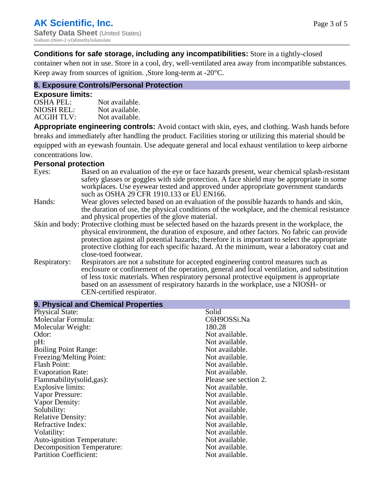## **Conditions for safe storage, including any incompatibilities:** Store in a tightly-closed

container when not in use. Store in a cool, dry, well-ventilated area away from incompatible substances. Keep away from sources of ignition. ,Store long-term at -20°C.

# **8. Exposure Controls/Personal Protection**

#### **Exposure limits:**

| Not available. |
|----------------|
| Not available. |
| Not available. |
|                |

**Appropriate engineering controls:** Avoid contact with skin, eyes, and clothing. Wash hands before breaks and immediately after handling the product. Facilities storing or utilizing this material should be equipped with an eyewash fountain. Use adequate general and local exhaust ventilation to keep airborne concentrations low.

#### **Personal protection**

| Eyes:        | Based on an evaluation of the eye or face hazards present, wear chemical splash-resistant<br>safety glasses or goggles with side protection. A face shield may be appropriate in some<br>workplaces. Use eyewear tested and approved under appropriate government standards<br>such as OSHA 29 CFR 1910.133 or EU EN166. |
|--------------|--------------------------------------------------------------------------------------------------------------------------------------------------------------------------------------------------------------------------------------------------------------------------------------------------------------------------|
| Hands:       | Wear gloves selected based on an evaluation of the possible hazards to hands and skin,                                                                                                                                                                                                                                   |
|              | the duration of use, the physical conditions of the workplace, and the chemical resistance                                                                                                                                                                                                                               |
|              | and physical properties of the glove material.                                                                                                                                                                                                                                                                           |
|              | Skin and body: Protective clothing must be selected based on the hazards present in the workplace, the                                                                                                                                                                                                                   |
|              | physical environment, the duration of exposure, and other factors. No fabric can provide                                                                                                                                                                                                                                 |
|              | protection against all potential hazards; therefore it is important to select the appropriate                                                                                                                                                                                                                            |
|              | protective clothing for each specific hazard. At the minimum, wear a laboratory coat and                                                                                                                                                                                                                                 |
|              | close-toed footwear.                                                                                                                                                                                                                                                                                                     |
| Respiratory: | Respirators are not a substitute for accepted engineering control measures such as<br>enclosure or confinement of the operation, general and local ventilation, and substitution                                                                                                                                         |
|              | of less toxic materials. When respiratory personal protective equipment is appropriate                                                                                                                                                                                                                                   |
|              | based on an assessment of respiratory hazards in the workplace, use a NIOSH- or                                                                                                                                                                                                                                          |
|              | CEN-certified respirator.                                                                                                                                                                                                                                                                                                |

| 9. Physical and Chemical Properties |                       |  |
|-------------------------------------|-----------------------|--|
| <b>Physical State:</b>              | Solid                 |  |
| Molecular Formula:                  | C6H9OSSi.Na           |  |
| Molecular Weight:                   | 180.28                |  |
| Odor:                               | Not available.        |  |
| pH:                                 | Not available.        |  |
| <b>Boiling Point Range:</b>         | Not available.        |  |
| Freezing/Melting Point:             | Not available.        |  |
| <b>Flash Point:</b>                 | Not available.        |  |
| <b>Evaporation Rate:</b>            | Not available.        |  |
| Flammability(solid,gas):            | Please see section 2. |  |
| <b>Explosive limits:</b>            | Not available.        |  |
| Vapor Pressure:                     | Not available.        |  |
| Vapor Density:                      | Not available.        |  |
| Solubility:                         | Not available.        |  |
| <b>Relative Density:</b>            | Not available.        |  |
| Refractive Index:                   | Not available.        |  |
| Volatility:                         | Not available.        |  |
| <b>Auto-ignition Temperature:</b>   | Not available.        |  |
| Decomposition Temperature:          | Not available.        |  |
| <b>Partition Coefficient:</b>       | Not available.        |  |
|                                     |                       |  |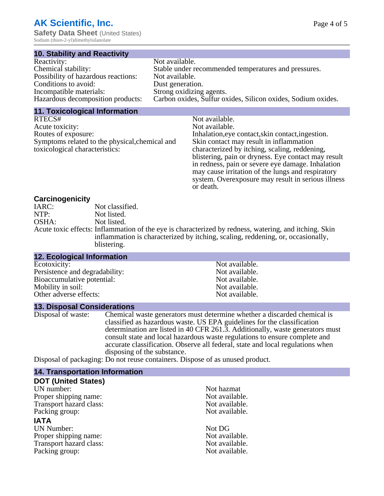**Safety Data Sheet** (United States) Sodium (thien-2-yl)dimethylsilanolate

#### **10. Stability and Reactivity**

| Reactivity:                         | Not available.                                               |
|-------------------------------------|--------------------------------------------------------------|
| Chemical stability:                 | Stable under recommended temperatures and pressures.         |
| Possibility of hazardous reactions: | Not available.                                               |
| Conditions to avoid:                | Dust generation.                                             |
| Incompatible materials:             | Strong oxidizing agents.                                     |
| Hazardous decomposition products:   | Carbon oxides, Sulfur oxides, Silicon oxides, Sodium oxides. |
|                                     |                                                              |

#### **11. Toxicological Information**

| RTECS#                                         | Not available.                                      |
|------------------------------------------------|-----------------------------------------------------|
| Acute toxicity:                                | Not available.                                      |
| Routes of exposure:                            | Inhalation, eye contact, skin contact, ingestion.   |
| Symptoms related to the physical, chemical and | Skin contact may result in inflammation             |
| toxicological characteristics:                 | characterized by itching, scaling, reddening,       |
|                                                | blistering, pain or dryness. Eye contact may result |
|                                                | in redness, pain or severe eye damage. Inhalation   |
|                                                | may cause irritation of the lungs and respiratory   |
|                                                | system. Over exposure may result in serious illness |
|                                                | or death.                                           |

## **Carcinogenicity**

| IARC: | Not classified.                                                                                       |
|-------|-------------------------------------------------------------------------------------------------------|
| NTP:  | Not listed.                                                                                           |
| OSHA: | Not listed.                                                                                           |
|       | Acute toxic effects: Inflammation of the eye is characterized by redness, watering, and itching. Skin |
|       | inflammation is characterized by itching, scaling, reddening, or, occasionally,                       |
|       | blistering.                                                                                           |

| <b>12. Ecological Information</b> |                |
|-----------------------------------|----------------|
| Ecotoxicity:                      | Not available. |
| Persistence and degradability:    | Not available. |
| Bioaccumulative potential:        | Not available. |
| Mobility in soil:                 | Not available. |
| Other adverse effects:            | Not available. |

#### **13. Disposal Considerations**

Disposal of waste: Chemical waste generators must determine whether a discarded chemical is classified as hazardous waste. US EPA guidelines for the classification determination are listed in 40 CFR 261.3. Additionally, waste generators must consult state and local hazardous waste regulations to ensure complete and accurate classification. Observe all federal, state and local regulations when disposing of the substance.

Disposal of packaging: Do not reuse containers. Dispose of as unused product.

| Not hazmat     |
|----------------|
| Not available. |
| Not available. |
| Not available. |
|                |
| Not DG         |
| Not available. |
| Not available. |
| Not available. |
|                |